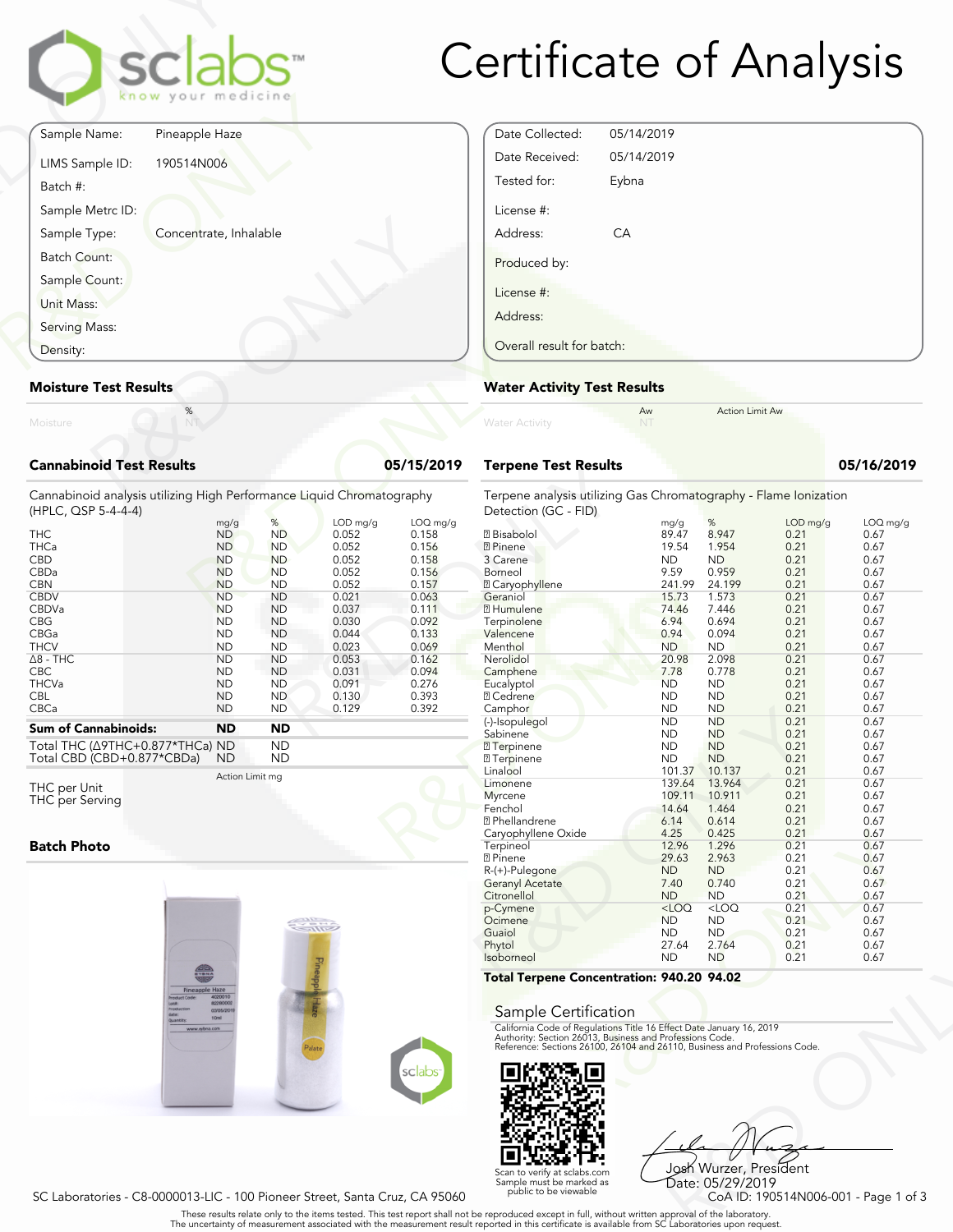

# Certificate of Analysis

|                   |                                 | <b>sclabs</b><br>know your medicine |           |
|-------------------|---------------------------------|-------------------------------------|-----------|
|                   | Sample Name:                    | Pineapple Haze                      |           |
| Batch #:          | LIMS Sample ID:                 | 190514N006                          |           |
|                   | Sample Metrc ID:                |                                     |           |
|                   | Sample Type:                    | Concentrate, Inhalable              |           |
|                   | Batch Count:                    |                                     |           |
|                   | Sample Count:                   |                                     |           |
| <b>Unit Mass:</b> |                                 |                                     |           |
|                   | Serving Mass:                   |                                     |           |
| Density:          |                                 |                                     |           |
|                   | <b>Moisture Test Results</b>    |                                     |           |
| Moisture          |                                 | $\%$                                |           |
|                   | <b>Cannabinoid Test Results</b> |                                     | 05/15/201 |

### Date Collected: 05/14/2019 Date Received: 05/14/2019 Tested for: Eybna License #: Address: CA Produced by: License #: Address: Overall result for batch:

Aw Action Limit Aw

**Terpene Test Results 05/16/2019**

#### **Moisture Test Results**

| <b>Cannabinoid Test Results</b> |  |
|---------------------------------|--|

| Density:                                                                                     | Overall result for batch:    |                |                   |                   |                                                    |
|----------------------------------------------------------------------------------------------|------------------------------|----------------|-------------------|-------------------|----------------------------------------------------|
| <b>Moisture Test Results</b>                                                                 | <b>Water Activity Test R</b> |                |                   |                   |                                                    |
| Moisture                                                                                     | %<br>NT                      |                |                   |                   | <b>Water Activity</b>                              |
| <b>Cannabinoid Test Results</b>                                                              |                              |                |                   | 05/15/2019        | <b>Terpene Test Results</b>                        |
| Cannabinoid analysis utilizing High Performance Liquid Chromatography<br>(HPLC, QSP 5-4-4-4) |                              |                |                   |                   | Terpene analysis utilizing<br>Detection (GC - FID) |
| <b>THC</b>                                                                                   | mg/g<br><b>ND</b>            | %<br><b>ND</b> | LOD mg/g<br>0.052 | LOQ mg/g<br>0.158 | <b>7</b> Bisabolol                                 |
| <b>THCa</b>                                                                                  | <b>ND</b>                    | <b>ND</b>      | 0.052             | 0.156             | <b>7 Pinene</b>                                    |
| <b>CBD</b>                                                                                   | <b>ND</b>                    | <b>ND</b>      | 0.052             | 0.158             | 3 Carene                                           |
| CBDa                                                                                         | <b>ND</b>                    | <b>ND</b>      | 0.052             | 0.156             | Borneol                                            |
| <b>CBN</b>                                                                                   | <b>ND</b>                    | <b>ND</b>      | 0.052             | 0.157             | <b>2 Caryophyllene</b>                             |
| <b>CBDV</b>                                                                                  | <b>ND</b>                    | <b>ND</b>      | 0.021             | 0.063             | Geraniol                                           |
| <b>CBDVa</b>                                                                                 | <b>ND</b>                    | <b>ND</b>      | 0.037             | 0.111             | <b>7 Humulene</b>                                  |
| <b>CBG</b>                                                                                   | <b>ND</b>                    | <b>ND</b>      | 0.030             | 0.092             | Terpinolene                                        |
| CBGa                                                                                         | <b>ND</b>                    | <b>ND</b>      | 0.044             | 0.133             | Valencene                                          |
| <b>THCV</b>                                                                                  | <b>ND</b>                    | <b>ND</b>      | 0.023             | 0.069             | Menthol                                            |
| $\Delta$ 8 - THC                                                                             | <b>ND</b>                    | <b>ND</b>      | 0.053             | 0.162             | Nerolidol                                          |
| <b>CBC</b>                                                                                   | <b>ND</b>                    | <b>ND</b>      | 0.031             | 0.094             | Camphene                                           |
| <b>THCVa</b>                                                                                 | <b>ND</b>                    | <b>ND</b>      | 0.091             | 0.276             | Eucalyptol                                         |
| <b>CBL</b>                                                                                   | <b>ND</b>                    | <b>ND</b>      | 0.130             | 0.393             | <b>2</b> Cedrene                                   |
| CBCa                                                                                         | <b>ND</b>                    | <b>ND</b>      | 0.129             | 0.392             | Camphor                                            |
| <b>Sum of Cannabinoids:</b>                                                                  | <b>ND</b>                    | <b>ND</b>      |                   |                   | (-)-Isopulegol                                     |
|                                                                                              |                              |                |                   |                   | Sabinene                                           |

Total THC (Δ9THC+0.877\*THCa) ND ND Total CBD (CBD+0.877\*CBDa) ND ND

Action Limit mg

THC per Unit THC per Serving

#### **Batch Photo**





VD<br> **940.20 94.02**<br>
Peter Date January 16, 2019<br>
Trofessions Code.<br>
9110, Business and Professions Code.<br>
910, Business and Professions Code.<br>
92.<br>
2028 NUTZER, President<br>
Date: 05/29/2019<br>
COA ID: 190514N006-001 - Page 1 Josh Wurzer, President Date: 05/29/2019

SC Laboratories - C8-0000013-LIC - 100 Pioneer Street, Santa Cruz, CA 95060

. These results relate only to the items tested. This test report shall not be reproduced except in full, without written approval of the laboratory.<br>The uncertainty of measurement associated with the measurement result re

Scan to verify at sclabs.com Sample must be marked as public to be viewable

Terpene analysis utilizing Gas Chromatography - Flame Ionization

| Detection (GC - FID) |       |       |            |            |
|----------------------|-------|-------|------------|------------|
|                      | mg/g  | %     | $LOD$ mg/g | $LOQ$ mg/g |
| 2 Bisabolol          | 89.47 | 8947  | 0.21       | 0.67       |
| <b>7</b> Pinene      | 19.54 | 1.954 | 0.21       | 0.67       |
| 3 Carana             | ND    |       | O 21       | በ 67       |

| 0.156  | <b>7</b> Pinene                                                                                                                        | 19.54     | 1.954     | 0.21 | 0.67 |
|--------|----------------------------------------------------------------------------------------------------------------------------------------|-----------|-----------|------|------|
| 0.158  | 3 Carene                                                                                                                               | ND        | <b>ND</b> | 0.21 | 0.67 |
| 0.156  | Borneol                                                                                                                                | 9.59      | 0.959     | 0.21 | 0.67 |
| 0.157  | <b>2 Caryophyllene</b>                                                                                                                 | 241.99    | 24.199    | 0.21 | 0.67 |
| 0.063  | Geraniol                                                                                                                               | 15.73     | 1.573     | 0.21 | 0.67 |
| 0.111  | <b>7 Humulene</b>                                                                                                                      | 74.46     | 7.446     | 0.21 | 0.67 |
| 0.092  | Terpinolene                                                                                                                            | 6.94      | 0.694     | 0.21 | 0.67 |
| 0.133  | Valencene                                                                                                                              | 0.94      | 0.094     | 0.21 | 0.67 |
| 0.069  | Menthol                                                                                                                                | <b>ND</b> | <b>ND</b> | 0.21 | 0.67 |
| 0.162  | Nerolidol                                                                                                                              | 20.98     | 2.098     | 0.21 | 0.67 |
| 0.094  | Camphene                                                                                                                               | 7.78      | 0.778     | 0.21 | 0.67 |
| 0.276  | Eucalyptol                                                                                                                             | <b>ND</b> | <b>ND</b> | 0.21 | 0.67 |
| 0.393  | <b>7 Cedrene</b>                                                                                                                       | <b>ND</b> | <b>ND</b> | 0.21 | 0.67 |
| 0.392  | Camphor                                                                                                                                | <b>ND</b> | <b>ND</b> | 0.21 | 0.67 |
|        | (-)-Isopulegol                                                                                                                         | <b>ND</b> | <b>ND</b> | 0.21 | 0.67 |
|        | Sabinene                                                                                                                               | <b>ND</b> | <b>ND</b> | 0.21 | 0.67 |
|        | <b>7</b> Terpinene                                                                                                                     | <b>ND</b> | <b>ND</b> | 0.21 | 0.67 |
|        | <b>7</b> Terpinene                                                                                                                     | ND        | ND        | 0.21 | 0.67 |
|        | Linalool                                                                                                                               | 101.37    | 10.137    | 0.21 | 0.67 |
|        | Limonene                                                                                                                               | 139.64    | 13.964    | 0.21 | 0.67 |
|        | Myrcene                                                                                                                                | 109.11    | 10.911    | 0.21 | 0.67 |
|        | Fenchol                                                                                                                                | 14.64     | 1.464     | 0.21 | 0.67 |
|        | <b>7</b> Phellandrene                                                                                                                  | 6.14      | 0.614     | 0.21 | 0.67 |
|        | Caryophyllene Oxide                                                                                                                    | 4.25      | 0.425     | 0.21 | 0.67 |
|        | Terpineol                                                                                                                              | 12.96     | 1.296     | 0.21 | 0.67 |
|        | <b>7</b> Pinene                                                                                                                        | 29.63     | 2.963     | 0.21 | 0.67 |
|        | R-(+)-Pulegone                                                                                                                         | <b>ND</b> | <b>ND</b> | 0.21 | 0.67 |
|        | <b>Geranyl Acetate</b>                                                                                                                 | 7.40      | 0.740     | 0.21 | 0.67 |
|        | Citronellol                                                                                                                            | <b>ND</b> | <b>ND</b> | 0.21 | 0.67 |
|        | p-Cymene                                                                                                                               | $<$ LOQ   | $<$ LOQ   | 0.21 | 0.67 |
|        | Ocimene                                                                                                                                | <b>ND</b> | <b>ND</b> | 0.21 | 0.67 |
|        | Guaiol                                                                                                                                 | ND        | <b>ND</b> | 0.21 | 0.67 |
|        | Phytol                                                                                                                                 | 27.64     | 2.764     | 0.21 | 0.67 |
|        | Isoborneol                                                                                                                             | <b>ND</b> | <b>ND</b> | 0.21 | 0.67 |
|        | Total Terpene Concentration: 940.20 94.02                                                                                              |           |           |      |      |
|        |                                                                                                                                        |           |           |      |      |
|        |                                                                                                                                        |           |           |      |      |
|        | Sample Certification                                                                                                                   |           |           |      |      |
|        | California Code of Regulations Title 16 Effect Date January 16, 2019                                                                   |           |           |      |      |
|        | Authority: Section 26013, Business and Professions Code.<br>Reference: Sections 26100, 26104 and 26110, Business and Professions Code. |           |           |      |      |
|        |                                                                                                                                        |           |           |      |      |
| sclabs |                                                                                                                                        |           |           |      |      |
|        |                                                                                                                                        |           |           |      |      |
|        |                                                                                                                                        |           |           |      |      |
|        |                                                                                                                                        |           |           |      |      |

#### Sample Certification

**Water Activity Test Results**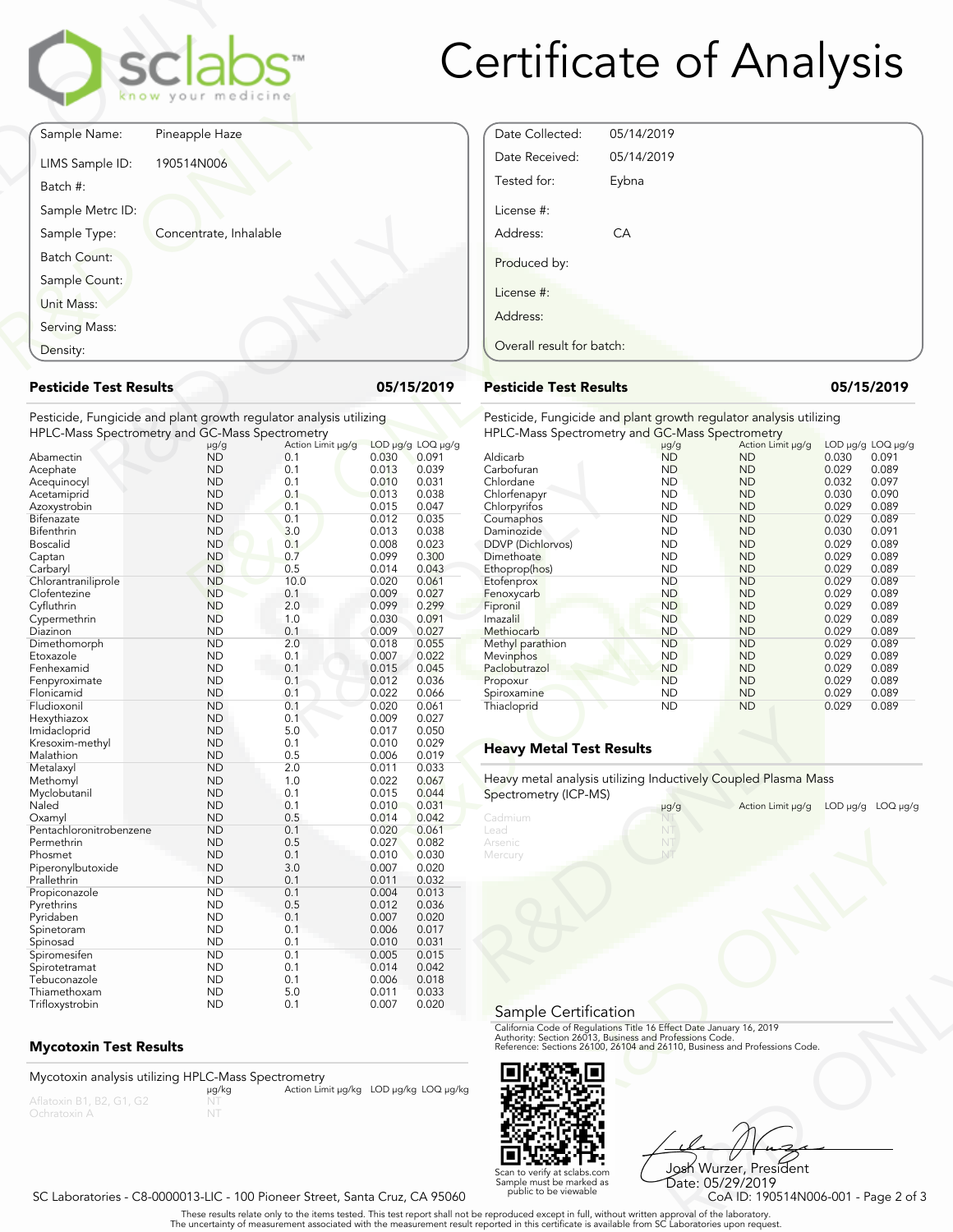

## Certificate of Analysis

|                                              | sclabs<br>know your medicine                                       |            |                   |       |                   |
|----------------------------------------------|--------------------------------------------------------------------|------------|-------------------|-------|-------------------|
| Sample Name:                                 | Pineapple Haze                                                     |            |                   |       |                   |
| LIMS Sample ID:<br>Batch #:                  | 190514N006                                                         |            |                   |       |                   |
| Sample Metrc ID:                             |                                                                    |            |                   |       |                   |
| Sample Type:                                 | Concentrate, Inhalable                                             |            |                   |       |                   |
| <b>Batch Count:</b>                          |                                                                    |            |                   |       |                   |
| Sample Count:                                |                                                                    |            |                   |       |                   |
| Unit Mass:                                   |                                                                    |            |                   |       |                   |
| Serving Mass:                                |                                                                    |            |                   |       |                   |
| Density:                                     |                                                                    |            |                   |       |                   |
| <b>Pesticide Test Results</b>                |                                                                    |            |                   |       | 05/15/2019        |
|                                              | Pesticide, Fungicide and plant growth regulator analysis utilizing |            |                   |       |                   |
|                                              | HPLC-Mass Spectrometry and GC-Mass Spectrometry                    |            |                   |       | LOD µg/g LOQ µg/g |
| Abamectin                                    | $\mu$ g/g<br><b>ND</b>                                             | 0.1        | Action Limit µg/g | 0.030 | 0.091             |
| Acephate                                     | <b>ND</b>                                                          | 0.1        |                   | 0.013 | 0.039             |
| Acequinocyl                                  | <b>ND</b>                                                          | 0.1        |                   | 0.010 | 0.031             |
| $\Lambda$ is a state of a state of $\Lambda$ | $\overline{N}$                                                     | $^{\circ}$ |                   | 0.012 | 0.020             |

#### **Pesticide Test Results 05/15/2019**

| Density:                                                           |                        |                   |                                  | Overall result for batch:     |
|--------------------------------------------------------------------|------------------------|-------------------|----------------------------------|-------------------------------|
| <b>Pesticide Test Results</b>                                      |                        |                   | 05/15/2019                       | <b>Pesticide Test Results</b> |
| Pesticide, Fungicide and plant growth regulator analysis utilizing |                        |                   |                                  | Pesticide, Fungicide and      |
| HPLC-Mass Spectrometry and GC-Mass Spectrometry                    |                        |                   |                                  | <b>HPLC-Mass Spectrometry</b> |
|                                                                    | $\mu$ g/g              | Action Limit µg/g | LOD µg/g LOQ µg/g                |                               |
| Abamectin                                                          | <b>ND</b>              | 0.1               | 0.091<br>0.030                   | Aldicarb                      |
| Acephate                                                           | <b>ND</b>              | 0.1               | 0.013<br>0.039                   | Carbofuran                    |
| Acequinocyl                                                        | <b>ND</b>              | 0.1               | 0.010<br>0.031                   | Chlordane                     |
| Acetamiprid                                                        | <b>ND</b>              | 0.1               | 0.013<br>0.038                   | Chlorfenapyr                  |
| Azoxystrobin                                                       | <b>ND</b>              | 0.1               | 0.015<br>0.047                   | Chlorpyrifos                  |
| Bifenazate                                                         | <b>ND</b>              | 0.1               | 0.012<br>0.035                   | Coumaphos                     |
| Bifenthrin                                                         | <b>ND</b>              | 3.0               | 0.013<br>0.038                   | Daminozide                    |
| <b>Boscalid</b>                                                    | <b>ND</b>              | 0.1               | 0.008<br>0.023                   | DDVP (Dichlorvos)             |
| Captan                                                             | <b>ND</b>              | 0.7               | 0.099<br>0.300                   | Dimethoate                    |
| Carbaryl                                                           | <b>ND</b>              | 0.5               | 0.014<br>0.043                   | Ethoprop(hos)                 |
| Chlorantraniliprole                                                | <b>ND</b>              | 10.0              | 0.020<br>0.061                   | Etofenprox                    |
| Clofentezine                                                       | <b>ND</b>              | 0.1               | 0.009<br>0.027                   | Fenoxycarb                    |
| Cyfluthrin                                                         | <b>ND</b>              | 2.0               | 0.299<br>0.099                   | Fipronil                      |
| Cypermethrin                                                       | <b>ND</b>              | 1.0               | 0.030<br>0.091                   | Imazalil                      |
| Diazinon                                                           | <b>ND</b>              | 0.1               | 0.009<br>0.027                   | Methiocarb                    |
| Dimethomorph                                                       | <b>ND</b>              | 2.0               | 0.055<br>0.018                   | Methyl parathion              |
| Etoxazole                                                          | <b>ND</b>              | 0.1               | 0.007<br>0.022                   | Mevinphos                     |
| Fenhexamid                                                         | <b>ND</b>              | 0.1               | 0.015<br>0.045                   | Paclobutrazol                 |
| Fenpyroximate                                                      | <b>ND</b>              | 0.1               | 0.012<br>0.036                   | Propoxur                      |
| Flonicamid                                                         | <b>ND</b>              | 0.1               | 0.022<br>0.066                   | Spiroxamine                   |
| Fludioxonil                                                        | <b>ND</b>              | 0.1               | 0.020<br>0.061                   | Thiacloprid                   |
| Hexythiazox                                                        | <b>ND</b>              | 0.1               | 0.009<br>0.027                   |                               |
| Imidacloprid                                                       | <b>ND</b>              | 5.0               | 0.017<br>0.050                   |                               |
| Kresoxim-methyl                                                    | <b>ND</b>              | 0.1               | 0.010<br>0.029                   | <b>Heavy Metal Test Res</b>   |
| Malathion                                                          | <b>ND</b>              | 0.5               | 0.006<br>0.019                   |                               |
| Metalaxyl                                                          | <b>ND</b>              | 2.0               | 0.011<br>0.033                   | Heavy metal analysis utiliz   |
| Methomyl                                                           | <b>ND</b>              | 1.0               | 0.022<br>0.067                   |                               |
| Myclobutanil                                                       | <b>ND</b>              | 0.1               | 0.044<br>0.015                   | Spectrometry (ICP-MS)         |
| Naled                                                              | <b>ND</b>              | 0.1               | 0.031<br>0.010                   |                               |
| Oxamyl                                                             | <b>ND</b><br><b>ND</b> | 0.5<br>0.1        | 0.014<br>0.042<br>0.020<br>0.061 | Cadmium<br>Lead               |
| Pentachloronitrobenzene<br>Permethrin                              | <b>ND</b>              | 0.5               | 0.027                            | Arsenic                       |
|                                                                    |                        | 0.1               | 0.082                            |                               |
| Phosmet                                                            | <b>ND</b><br><b>ND</b> | 3.0               | 0.010<br>0.030<br>0.007<br>0.020 | Mercury                       |
| Piperonylbutoxide<br>Prallethrin                                   | <b>ND</b>              | 0.1               | 0.011<br>0.032                   |                               |
|                                                                    | ND                     | 0.1               | 0.004<br>0.013                   |                               |
| Propiconazole<br>Pyrethrins                                        | <b>ND</b>              | 0.5               | 0.012<br>0.036                   |                               |
| Pyridaben                                                          | <b>ND</b>              | 0.1               | 0.007<br>0.020                   |                               |
|                                                                    | <b>ND</b>              | 0.1               | 0.006<br>0.017                   |                               |
| Spinetoram<br>Spinosad                                             | <b>ND</b>              | 0.1               | 0.010<br>0.031                   |                               |
| Spiromesifen                                                       | <b>ND</b>              | 0.1               | 0.005<br>0.015                   |                               |
| Spirotetramat                                                      | <b>ND</b>              | 0.1               | 0.014<br>0.042                   |                               |
| Tebuconazole                                                       | <b>ND</b>              | 0.1               | 0.006<br>0.018                   |                               |
| Thiamethoxam                                                       | <b>ND</b>              | 5.0               | 0.011<br>0.033                   |                               |
|                                                                    | <b>ND</b>              | 0.1               | 0.007<br>0.020                   |                               |
| Trifloxystrobin                                                    |                        |                   |                                  |                               |

### **Mycotoxin Test Results**

Mycotoxin analysis utilizing HPLC-Mass Spectrometry<br>μg/kg Aflatoxin B1, B2, G1, G2 NT MT Action Limit μg/kg LOD μg/kg LOQ μg/kg

| Date Collected:           | 05/14/2019 |  |  |  |  |  |
|---------------------------|------------|--|--|--|--|--|
| Date Received:            | 05/14/2019 |  |  |  |  |  |
| Tested for:               | Eybna      |  |  |  |  |  |
| License #:                |            |  |  |  |  |  |
| Address:                  | CA         |  |  |  |  |  |
| Produced by:              |            |  |  |  |  |  |
| License #:                |            |  |  |  |  |  |
| Address:                  |            |  |  |  |  |  |
| Overall result for batch: |            |  |  |  |  |  |

#### **Pesticide Test Results 05/15/2019**

Pesticide, Fungicide and plant growth regulator analysis utilizing HPLC-Mass Spectrometry and GC-Mass Spectrometry

| .030 | OD µg/g LOQ µg/g<br>0.091 | Aldicarb                                                       | $\mu$ g/g<br><b>ND</b> | Action Limit µg/g<br><b>ND</b> | 0.030    | LOD µg/g LOQ µg/g<br>0.091 |
|------|---------------------------|----------------------------------------------------------------|------------------------|--------------------------------|----------|----------------------------|
| .013 | 0.039                     | Carbofuran                                                     | <b>ND</b>              | <b>ND</b>                      | 0.029    | 0.089                      |
| .010 | 0.031                     | Chlordane                                                      | <b>ND</b>              | <b>ND</b>                      | 0.032    | 0.097                      |
| .013 | 0.038                     |                                                                | <b>ND</b>              | <b>ND</b>                      | 0.030    | 0.090                      |
| .015 | 0.047                     | Chlorfenapyr                                                   | <b>ND</b>              | <b>ND</b>                      | 0.029    | 0.089                      |
| .012 | 0.035                     | Chlorpyrifos                                                   | <b>ND</b>              | <b>ND</b>                      | 0.029    | 0.089                      |
| .013 | 0.038                     | Coumaphos<br>Daminozide                                        | <b>ND</b>              | <b>ND</b>                      | 0.030    | 0.091                      |
| .008 | 0.023                     | <b>DDVP</b> (Dichlorvos)                                       | ND                     | <b>ND</b>                      | 0.029    | 0.089                      |
| .099 | 0.300                     | Dimethoate                                                     | <b>ND</b>              | <b>ND</b>                      | 0.029    | 0.089                      |
| .014 | 0.043                     |                                                                | <b>ND</b>              | <b>ND</b>                      | 0.029    | 0.089                      |
| .020 | 0.061                     | Ethoprop(hos)<br>Etofenprox                                    | <b>ND</b>              | <b>ND</b>                      | 0.029    | 0.089                      |
| .009 | 0.027                     | Fenoxycarb                                                     | <b>ND</b>              | <b>ND</b>                      | 0.029    | 0.089                      |
| .099 | 0.299                     | Fipronil                                                       | <b>ND</b>              | <b>ND</b>                      | 0.029    | 0.089                      |
| .030 | 0.091                     | Imazalil                                                       | <b>ND</b>              | <b>ND</b>                      | 0.029    | 0.089                      |
| .009 | 0.027                     | Methiocarb                                                     | <b>ND</b>              | <b>ND</b>                      | 0.029    | 0.089                      |
| .018 | 0.055                     | Methyl parathion                                               | <b>ND</b>              | <b>ND</b>                      | 0.029    | 0.089                      |
| .007 | 0.022                     | Mevinphos                                                      | <b>ND</b>              | <b>ND</b>                      | 0.029    | 0.089                      |
| .015 | 0.045                     | Paclobutrazol                                                  | <b>ND</b>              | <b>ND</b>                      | 0.029    | 0.089                      |
| .012 | 0.036                     | Propoxur                                                       | <b>ND</b>              | <b>ND</b>                      | 0.029    | 0.089                      |
| .022 | 0.066                     | Spiroxamine                                                    | <b>ND</b>              | <b>ND</b>                      | 0.029    | 0.089                      |
| .020 | 0.061                     | Thiacloprid                                                    | <b>ND</b>              | <b>ND</b>                      | 0.029    | 0.089                      |
| .009 | 0.027                     |                                                                |                        |                                |          |                            |
| .017 | 0.050                     |                                                                |                        |                                |          |                            |
| .010 | 0.029                     |                                                                |                        |                                |          |                            |
| .006 | 0.019                     | <b>Heavy Metal Test Results</b>                                |                        |                                |          |                            |
| .011 | 0.033                     |                                                                |                        |                                |          |                            |
| .022 | 0.067                     | Heavy metal analysis utilizing Inductively Coupled Plasma Mass |                        |                                |          |                            |
| .015 | 0.044                     | Spectrometry (ICP-MS)                                          |                        |                                |          |                            |
| .010 | 0.031                     |                                                                | $\mu$ g/g              | Action Limit µg/g              | LOD µg/g | $LOQ$ µg/g                 |
| .014 | 0.042                     | Cadmium                                                        |                        |                                |          |                            |
| .020 | 0.061                     | Lead                                                           | NT                     |                                |          |                            |
| .027 | 0.082                     | Arsenic                                                        | NT                     |                                |          |                            |
| .010 | 0.030                     | Mercury                                                        | NT                     |                                |          |                            |
|      |                           |                                                                |                        |                                |          |                            |

### **Heavy Metal Test Results**

| <b>Iniacioprio</b>                                                                                                                                                                                             | שצו  | <b>IND</b>        | U.UZY<br>U.UOY            |
|----------------------------------------------------------------------------------------------------------------------------------------------------------------------------------------------------------------|------|-------------------|---------------------------|
| <b>Heavy Metal Test Results</b>                                                                                                                                                                                |      |                   |                           |
| Heavy metal analysis utilizing Inductively Coupled Plasma Mass<br>Spectrometry (ICP-MS)                                                                                                                        |      |                   |                           |
|                                                                                                                                                                                                                | µg/g | Action Limit µg/g | $LOD \mu g/g$<br>LOQ µg/g |
| Cadmium<br>Lead<br>Arsenic                                                                                                                                                                                     |      |                   |                           |
| Mercury                                                                                                                                                                                                        |      |                   |                           |
| Sample Certification                                                                                                                                                                                           |      |                   |                           |
| California Code of Regulations Title 16 Effect Date January 16, 2019<br>Authority: Section 26013, Business and Professions Code.<br>Reference: Sections 26100, 26104 and 26110, Business and Professions Code. |      |                   |                           |
|                                                                                                                                                                                                                |      |                   |                           |

#### Sample Certification



Frect Date January 16, 2019<br>
Trofessions Code.<br>
110, Business and Professions Code.<br>
110, Business and Professions Code.<br>
108 Wurzer, President<br>
Date: 05/29/2019<br>
CoA ID: 190514N006-001 - Page 2 of 3<br>
pproval of the labora Josh Wurzer, President Date: 05/29/2019

. These results relate only to the items tested. This test report shall not be reproduced except in full, without written approval of the laboratory.<br>The uncertainty of measurement associated with the measurement result re